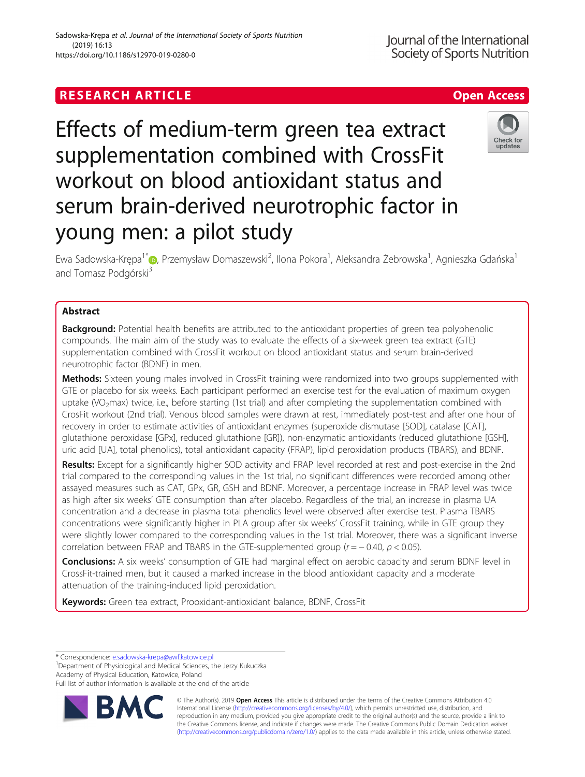# **RESEARCH ARTICLE Example 2018 12:30 The Contract of Contract ACCESS**

supplementation combined with CrossFit workout on blood antioxidant status and serum brain-derived neurotrophic factor in young men: a pilot study

Effects of medium-term green tea extract

Ewa Sadowska-Krępa<sup>1[\\*](http://orcid.org/0000-0002-9374-8071)</sup>io, Przemysław Domaszewski<sup>2</sup>, Ilona Pokora<sup>1</sup>, Aleksandra Żebrowska<sup>1</sup>, Agnieszka Gdańska<sup>1</sup> and Tomasz Podgórski<sup>3</sup>

# Abstract

**Background:** Potential health benefits are attributed to the antioxidant properties of green tea polyphenolic compounds. The main aim of the study was to evaluate the effects of a six-week green tea extract (GTE) supplementation combined with CrossFit workout on blood antioxidant status and serum brain-derived neurotrophic factor (BDNF) in men.

Methods: Sixteen young males involved in CrossFit training were randomized into two groups supplemented with GTE or placebo for six weeks. Each participant performed an exercise test for the evaluation of maximum oxygen uptake (VO<sub>2</sub>max) twice, i.e., before starting (1st trial) and after completing the supplementation combined with CrosFit workout (2nd trial). Venous blood samples were drawn at rest, immediately post-test and after one hour of recovery in order to estimate activities of antioxidant enzymes (superoxide dismutase [SOD], catalase [CAT], glutathione peroxidase [GPx], reduced glutathione [GR]), non-enzymatic antioxidants (reduced glutathione [GSH], uric acid [UA], total phenolics), total antioxidant capacity (FRAP), lipid peroxidation products (TBARS), and BDNF.

Results: Except for a significantly higher SOD activity and FRAP level recorded at rest and post-exercise in the 2nd trial compared to the corresponding values in the 1st trial, no significant differences were recorded among other assayed measures such as CAT, GPx, GR, GSH and BDNF. Moreover, a percentage increase in FRAP level was twice as high after six weeks' GTE consumption than after placebo. Regardless of the trial, an increase in plasma UA concentration and a decrease in plasma total phenolics level were observed after exercise test. Plasma TBARS concentrations were significantly higher in PLA group after six weeks' CrossFit training, while in GTE group they were slightly lower compared to the corresponding values in the 1st trial. Moreover, there was a significant inverse correlation between FRAP and TBARS in the GTE-supplemented group ( $r = -0.40$ ,  $p < 0.05$ ).

Conclusions: A six weeks' consumption of GTE had marginal effect on aerobic capacity and serum BDNF level in CrossFit-trained men, but it caused a marked increase in the blood antioxidant capacity and a moderate attenuation of the training-induced lipid peroxidation.

Keywords: Green tea extract, Prooxidant-antioxidant balance, BDNF, CrossFit

<sup>1</sup>Department of Physiological and Medical Sciences, the Jerzy Kukuczka Academy of Physical Education, Katowice, Poland

Full list of author information is available at the end of the article

© The Author(s). 2019 **Open Access** This article is distributed under the terms of the Creative Commons Attribution 4.0 International License [\(http://creativecommons.org/licenses/by/4.0/](http://creativecommons.org/licenses/by/4.0/)), which permits unrestricted use, distribution, and reproduction in any medium, provided you give appropriate credit to the original author(s) and the source, provide a link to the Creative Commons license, and indicate if changes were made. The Creative Commons Public Domain Dedication waiver [\(http://creativecommons.org/publicdomain/zero/1.0/](http://creativecommons.org/publicdomain/zero/1.0/)) applies to the data made available in this article, unless otherwise stated.

Sadowska-Krępa et al. Journal of the International Society of Sports Nutrition (2019) 16:13 https://doi.org/10.1186/s12970-019-0280-0





<sup>\*</sup> Correspondence: [e.sadowska-krepa@awf.katowice.pl](mailto:e.sadowska-krepa@awf.katowice.pl) <sup>1</sup>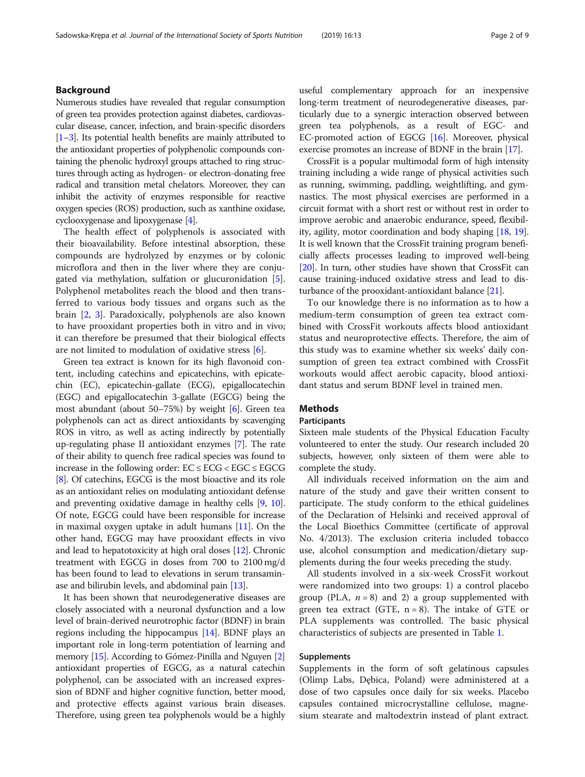# Background

Numerous studies have revealed that regular consumption of green tea provides protection against diabetes, cardiovascular disease, cancer, infection, and brain-specific disorders [[1](#page-7-0)–[3\]](#page-7-0). Its potential health benefits are mainly attributed to the antioxidant properties of polyphenolic compounds containing the phenolic hydroxyl groups attached to ring structures through acting as hydrogen- or electron-donating free radical and transition metal chelators. Moreover, they can inhibit the activity of enzymes responsible for reactive oxygen species (ROS) production, such as xanthine oxidase, cyclooxygenase and lipoxygenase [\[4](#page-7-0)].

The health effect of polyphenols is associated with their bioavailability. Before intestinal absorption, these compounds are hydrolyzed by enzymes or by colonic microflora and then in the liver where they are conjugated via methylation, sulfation or glucuronidation [\[5](#page-7-0)]. Polyphenol metabolites reach the blood and then transferred to various body tissues and organs such as the brain [\[2](#page-7-0), [3\]](#page-7-0). Paradoxically, polyphenols are also known to have prooxidant properties both in vitro and in vivo; it can therefore be presumed that their biological effects are not limited to modulation of oxidative stress [[6\]](#page-7-0).

Green tea extract is known for its high flavonoid content, including catechins and epicatechins, with epicatechin (EC), epicatechin-gallate (ECG), epigallocatechin (EGC) and epigallocatechin 3-gallate (EGCG) being the most abundant (about 50–75%) by weight [[6](#page-7-0)]. Green tea polyphenols can act as direct antioxidants by scavenging ROS in vitro, as well as acting indirectly by potentially up-regulating phase II antioxidant enzymes [[7](#page-7-0)]. The rate of their ability to quench free radical species was found to increase in the following order:  $EC \le ECG \lt EGC \le EGC$ [[8\]](#page-7-0). Of catechins, EGCG is the most bioactive and its role as an antioxidant relies on modulating antioxidant defense and preventing oxidative damage in healthy cells [[9,](#page-7-0) [10](#page-7-0)]. Of note, EGCG could have been responsible for increase in maximal oxygen uptake in adult humans [[11](#page-8-0)]. On the other hand, EGCG may have prooxidant effects in vivo and lead to hepatotoxicity at high oral doses [\[12\]](#page-8-0). Chronic treatment with EGCG in doses from 700 to 2100 mg/d has been found to lead to elevations in serum transaminase and bilirubin levels, and abdominal pain [[13](#page-8-0)].

It has been shown that neurodegenerative diseases are closely associated with a neuronal dysfunction and a low level of brain-derived neurotrophic factor (BDNF) in brain regions including the hippocampus [[14](#page-8-0)]. BDNF plays an important role in long-term potentiation of learning and memory [[15\]](#page-8-0). According to Gómez-Pinilla and Nguyen [[2](#page-7-0)] antioxidant properties of EGCG, as a natural catechin polyphenol, can be associated with an increased expression of BDNF and higher cognitive function, better mood, and protective effects against various brain diseases. Therefore, using green tea polyphenols would be a highly useful complementary approach for an inexpensive long-term treatment of neurodegenerative diseases, particularly due to a synergic interaction observed between green tea polyphenols, as a result of EGC- and EC-promoted action of EGCG [\[16\]](#page-8-0). Moreover, physical exercise promotes an increase of BDNF in the brain [\[17](#page-8-0)].

CrossFit is a popular multimodal form of high intensity training including a wide range of physical activities such as running, swimming, paddling, weightlifting, and gymnastics. The most physical exercises are performed in a circuit format with a short rest or without rest in order to improve aerobic and anaerobic endurance, speed, flexibility, agility, motor coordination and body shaping [[18](#page-8-0), [19](#page-8-0)]. It is well known that the CrossFit training program beneficially affects processes leading to improved well-being [[20](#page-8-0)]. In turn, other studies have shown that CrossFit can cause training-induced oxidative stress and lead to disturbance of the prooxidant-antioxidant balance [[21](#page-8-0)].

To our knowledge there is no information as to how a medium-term consumption of green tea extract combined with CrossFit workouts affects blood antioxidant status and neuroprotective effects. Therefore, the aim of this study was to examine whether six weeks' daily consumption of green tea extract combined with CrossFit workouts would affect aerobic capacity, blood antioxidant status and serum BDNF level in trained men.

# Methods

### Participants

Sixteen male students of the Physical Education Faculty volunteered to enter the study. Our research included 20 subjects, however, only sixteen of them were able to complete the study.

All individuals received information on the aim and nature of the study and gave their written consent to participate. The study conform to the ethical guidelines of the Declaration of Helsinki and received approval of the Local Bioethics Committee (certificate of approval No. 4/2013). The exclusion criteria included tobacco use, alcohol consumption and medication/dietary supplements during the four weeks preceding the study.

All students involved in a six-week CrossFit workout were randomized into two groups: 1) a control placebo group (PLA,  $n = 8$ ) and 2) a group supplemented with green tea extract (GTE,  $n = 8$ ). The intake of GTE or PLA supplements was controlled. The basic physical characteristics of subjects are presented in Table [1](#page-2-0).

# Supplements

Supplements in the form of soft gelatinous capsules (Olimp Labs, Dębica, Poland) were administered at a dose of two capsules once daily for six weeks. Placebo capsules contained microcrystalline cellulose, magnesium stearate and maltodextrin instead of plant extract.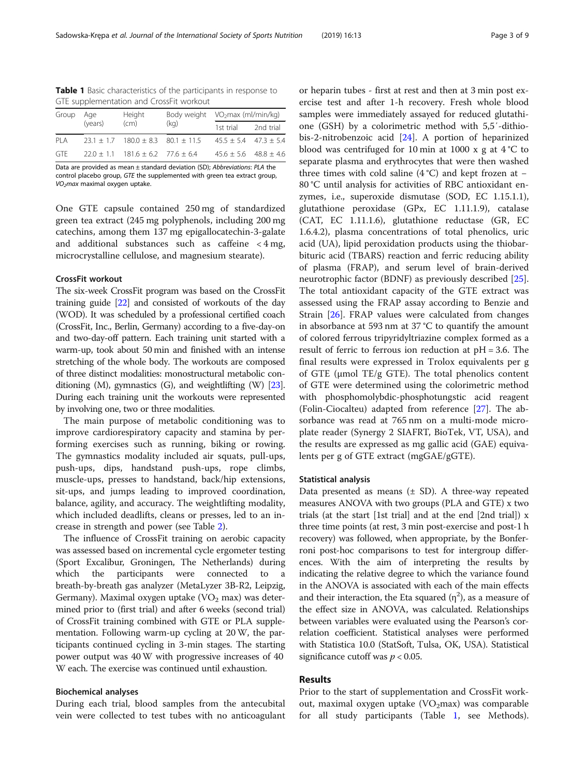<span id="page-2-0"></span>Table 1 Basic characteristics of the participants in response to GTE supplementation and CrossFit workout

| Group | Age<br>(years) | Height<br>(cm)                                 | Body weight<br>(kq) | VO <sub>2</sub> max (ml/min/kg) |           |
|-------|----------------|------------------------------------------------|---------------------|---------------------------------|-----------|
|       |                |                                                |                     | 1st trial                       | 2nd trial |
| PIA   |                | $23.1 \pm 1.7$ 180.0 $\pm$ 8.3 80.1 $\pm$ 11.5 |                     | $45.5 \pm 5.4$ $47.3 \pm 5.4$   |           |
| GTF   |                | $22.0 \pm 1.1$ 181.6 $\pm$ 6.2 77.6 $\pm$ 6.4  |                     | $45.6 \pm 5.6$ $48.8 \pm 4.6$   |           |

Data are provided as mean ± standard deviation (SD); Abbreviations: PLA the control placebo group, GTE the supplemented with green tea extract group,  $VO<sub>2</sub>$ max maximal oxygen uptake.

One GTE capsule contained 250 mg of standardized green tea extract (245 mg polyphenols, including 200 mg catechins, among them 137 mg epigallocatechin-3-galate and additional substances such as caffeine < 4 mg, microcrystalline cellulose, and magnesium stearate).

## CrossFit workout

The six-week CrossFit program was based on the CrossFit training guide [\[22](#page-8-0)] and consisted of workouts of the day (WOD). It was scheduled by a professional certified coach (CrossFit, Inc., Berlin, Germany) according to a five-day-on and two-day-off pattern. Each training unit started with a warm-up, took about 50 min and finished with an intense stretching of the whole body. The workouts are composed of three distinct modalities: monostructural metabolic conditioning (M), gymnastics (G), and weightlifting (W) [\[23](#page-8-0)]. During each training unit the workouts were represented by involving one, two or three modalities.

The main purpose of metabolic conditioning was to improve cardiorespiratory capacity and stamina by performing exercises such as running, biking or rowing. The gymnastics modality included air squats, pull-ups, push-ups, dips, handstand push-ups, rope climbs, muscle-ups, presses to handstand, back/hip extensions, sit-ups, and jumps leading to improved coordination, balance, agility, and accuracy. The weightlifting modality, which included deadlifts, cleans or presses, led to an increase in strength and power (see Table [2\)](#page-3-0).

The influence of CrossFit training on aerobic capacity was assessed based on incremental cycle ergometer testing (Sport Excalibur, Groningen, The Netherlands) during which the participants were connected to breath-by-breath gas analyzer (MetaLyzer 3B-R2, Leipzig, Germany). Maximal oxygen uptake  $(VO<sub>2</sub>$  max) was determined prior to (first trial) and after 6 weeks (second trial) of CrossFit training combined with GTE or PLA supplementation. Following warm-up cycling at 20 W, the participants continued cycling in 3-min stages. The starting power output was 40 W with progressive increases of 40 W each. The exercise was continued until exhaustion.

# Biochemical analyses

During each trial, blood samples from the antecubital vein were collected to test tubes with no anticoagulant

or heparin tubes - first at rest and then at 3 min post exercise test and after 1-h recovery. Fresh whole blood samples were immediately assayed for reduced glutathione (GSH) by a colorimetric method with 5,5′-dithiobis-2-nitrobenzoic acid [[24\]](#page-8-0). A portion of heparinized blood was centrifuged for 10 min at 1000 x g at  $4^{\circ}$ C to separate plasma and erythrocytes that were then washed three times with cold saline  $(4 \degree C)$  and kept frozen at − 80 °C until analysis for activities of RBC antioxidant enzymes, i.e., superoxide dismutase (SOD, EC 1.15.1.1), glutathione peroxidase (GPx, EC 1.11.1.9), catalase (CAT, EC 1.11.1.6), glutathione reductase (GR, EC 1.6.4.2), plasma concentrations of total phenolics, uric acid (UA), lipid peroxidation products using the thiobarbituric acid (TBARS) reaction and ferric reducing ability of plasma (FRAP), and serum level of brain-derived neurotrophic factor (BDNF) as previously described [\[25](#page-8-0)]. The total antioxidant capacity of the GTE extract was assessed using the FRAP assay according to Benzie and Strain [\[26](#page-8-0)]. FRAP values were calculated from changes in absorbance at 593 nm at 37 °C to quantify the amount of colored ferrous tripyridyltriazine complex formed as a result of ferric to ferrous ion reduction at pH = 3.6. The final results were expressed in Trolox equivalents per g of GTE (μmol TE/g GTE). The total phenolics content of GTE were determined using the colorimetric method with phosphomolybdic-phosphotungstic acid reagent (Folin-Ciocalteu) adapted from reference [[27\]](#page-8-0). The absorbance was read at 765 nm on a multi-mode microplate reader (Synergy 2 SIAFRT, BioTek, VT, USA), and the results are expressed as mg gallic acid (GAE) equivalents per g of GTE extract (mgGAE/gGTE).

#### Statistical analysis

Data presented as means  $(\pm SD)$ . A three-way repeated measures ANOVA with two groups (PLA and GTE) x two trials (at the start [1st trial] and at the end [2nd trial]) x three time points (at rest, 3 min post-exercise and post-1 h recovery) was followed, when appropriate, by the Bonferroni post-hoc comparisons to test for intergroup differences. With the aim of interpreting the results by indicating the relative degree to which the variance found in the ANOVA is associated with each of the main effects and their interaction, the Eta squared  $(\eta^2)$ , as a measure of the effect size in ANOVA, was calculated. Relationships between variables were evaluated using the Pearson's correlation coefficient. Statistical analyses were performed with Statistica 10.0 (StatSoft, Tulsa, OK, USA). Statistical significance cutoff was  $p < 0.05$ .

# Results

Prior to the start of supplementation and CrossFit workout, maximal oxygen uptake  $(VO<sub>2</sub>max)$  was comparable for all study participants (Table 1, see Methods).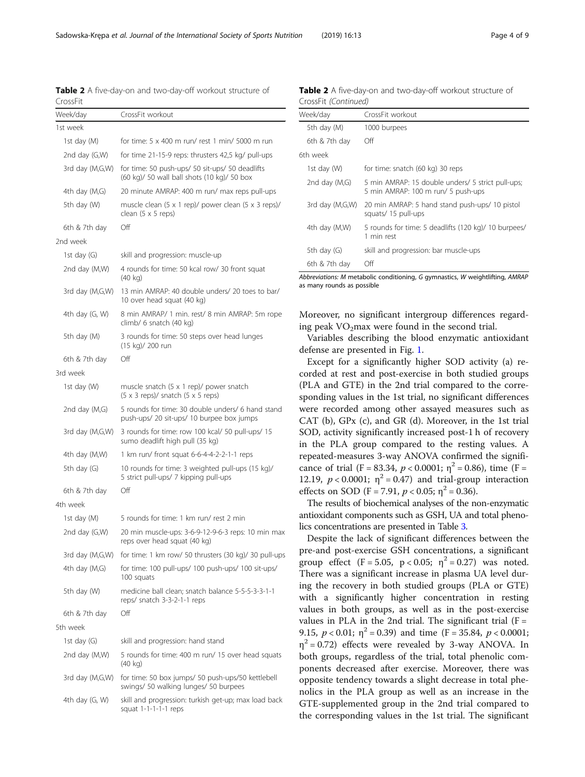<span id="page-3-0"></span>Sadowska-Krepa et al. Journal of the International Society of Sports Nutrition (2019) 16:13 Page 4 of 9

Table 2 A five-day-on and two-day-off workout structure of CrossFit

| Week/day        | CrossFit workout                                                                                  |  |  |
|-----------------|---------------------------------------------------------------------------------------------------|--|--|
| 1st week        |                                                                                                   |  |  |
| 1st day (M)     | for time: 5 x 400 m run/ rest 1 min/ 5000 m run                                                   |  |  |
| 2nd day (G,W)   | for time 21-15-9 reps: thrusters 42,5 kg/ pull-ups                                                |  |  |
| 3rd day (M,G,W) | for time: 50 push-ups/ 50 sit-ups/ 50 deadlifts<br>(60 kg)/ 50 wall ball shots (10 kg)/ 50 box    |  |  |
| 4th day (M,G)   | 20 minute AMRAP: 400 m run/ max reps pull-ups                                                     |  |  |
| 5th day (W)     | muscle clean (5 x 1 rep)/ power clean (5 x 3 reps)/<br>clean $(5 \times 5$ reps)                  |  |  |
| 6th & 7th day   | Off                                                                                               |  |  |
| 2nd week        |                                                                                                   |  |  |
| 1st day $(G)$   | skill and progression: muscle-up                                                                  |  |  |
| 2nd day (M,W)   | 4 rounds for time: 50 kcal row/ 30 front squat<br>$(40 \text{ kg})$                               |  |  |
| 3rd day (M,G,W) | 13 min AMRAP: 40 double unders/ 20 toes to bar/<br>10 over head squat (40 kg)                     |  |  |
| 4th day (G, W)  | 8 min AMRAP/ 1 min. rest/ 8 min AMRAP: 5m rope<br>climb/ 6 snatch (40 kg)                         |  |  |
| 5th day (M)     | 3 rounds for time: 50 steps over head lunges<br>(15 kg)/ 200 run                                  |  |  |
| 6th & 7th day   | Off                                                                                               |  |  |
| 3rd week        |                                                                                                   |  |  |
| 1st day (W)     | muscle snatch $(5 \times 1$ rep)/ power snatch<br>$(5 \times 3$ reps)/ snatch $(5 \times 5$ reps) |  |  |
| 2nd day (M,G)   | 5 rounds for time: 30 double unders/ 6 hand stand<br>push-ups/ 20 sit-ups/ 10 burpee box jumps    |  |  |
| 3rd day (M,G,W) | 3 rounds for time: row 100 kcal/ 50 pull-ups/ 15<br>sumo deadlift high pull (35 kg)               |  |  |
| 4th day (M,W)   | 1 km run/ front squat 6-6-4-4-2-2-1-1 reps                                                        |  |  |
| 5th day (G)     | 10 rounds for time: 3 weighted pull-ups (15 kg)/<br>5 strict pull-ups/ 7 kipping pull-ups         |  |  |
| 6th & 7th day   | Off                                                                                               |  |  |
| 4th week        |                                                                                                   |  |  |
| 1st day (M)     | 5 rounds for time: 1 km run/ rest 2 min                                                           |  |  |
| 2nd day (G,W)   | 20 min muscle-ups: 3-6-9-12-9-6-3 reps: 10 min max<br>reps over head squat (40 kg)                |  |  |
| 3rd day (M,G,W) | for time: 1 km row/ 50 thrusters (30 kg)/ 30 pull-ups                                             |  |  |
| 4th day (M,G)   | for time: 100 pull-ups/ 100 push-ups/ 100 sit-ups/<br>100 squats                                  |  |  |
| 5th day (W)     | medicine ball clean; snatch balance 5-5-5-3-3-1-1<br>reps/ snatch 3-3-2-1-1 reps                  |  |  |
| 6th & 7th day   | Off                                                                                               |  |  |
| 5th week        |                                                                                                   |  |  |
| 1st day $(G)$   | skill and progression: hand stand                                                                 |  |  |
| 2nd day (M,W)   | 5 rounds for time: 400 m run/ 15 over head squats<br>(40 kg)                                      |  |  |
| 3rd day (M,G,W) | for time: 50 box jumps/ 50 push-ups/50 kettlebell<br>swings/ 50 walking lunges/ 50 burpees        |  |  |
| 4th day (G, W)  | skill and progression: turkish get-up; max load back<br>squat $1-1-1-1-1$ reps                    |  |  |

Table 2 A five-day-on and two-day-off workout structure of CrossFit (Continued)

| Week/day        | CrossFit workout                                                                        |  |  |
|-----------------|-----------------------------------------------------------------------------------------|--|--|
| 5th day (M)     | 1000 burpees                                                                            |  |  |
| 6th & 7th day   | Off                                                                                     |  |  |
| 6th week        |                                                                                         |  |  |
| 1st day (W)     | for time: snatch (60 kg) 30 reps                                                        |  |  |
| 2nd day $(M,G)$ | 5 min AMRAP: 15 double unders/ 5 strict pull-ups;<br>5 min AMRAP: 100 m run/ 5 push-ups |  |  |
| 3rd day (M,G,W) | 20 min AMRAP: 5 hand stand push-ups/ 10 pistol<br>squats/15 pull-ups                    |  |  |
| 4th day (M,W)   | 5 rounds for time: 5 deadlifts (120 kg)/ 10 burpees/<br>1 min rest                      |  |  |
| 5th day $(G)$   | skill and progression: bar muscle-ups                                                   |  |  |
| 6th & 7th day   | ∩ff                                                                                     |  |  |

Abbreviations: M metabolic conditioning, G gymnastics, W weightlifting, AMRAP as many rounds as possible

Moreover, no significant intergroup differences regarding peak  $VO<sub>2</sub>max$  were found in the second trial.

Variables describing the blood enzymatic antioxidant defense are presented in Fig. [1](#page-4-0).

Except for a significantly higher SOD activity (a) recorded at rest and post-exercise in both studied groups (PLA and GTE) in the 2nd trial compared to the corresponding values in the 1st trial, no significant differences were recorded among other assayed measures such as CAT (b), GPx (c), and GR (d). Moreover, in the 1st trial SOD, activity significantly increased post-1 h of recovery in the PLA group compared to the resting values. A repeated-measures 3-way ANOVA confirmed the significance of trial (F = 83.34,  $p < 0.0001$ ;  $\eta^2 = 0.86$ ), time (F = 12.19,  $p < 0.0001$ ;  $\eta^2 = 0.47$ ) and trial-group interaction effects on SOD (F = 7.91,  $p < 0.05$ ;  $\eta^2 = 0.36$ ).

The results of biochemical analyses of the non-enzymatic antioxidant components such as GSH, UA and total phenolics concentrations are presented in Table [3](#page-5-0).

Despite the lack of significant differences between the pre-and post-exercise GSH concentrations, a significant group effect  $(F = 5.05, p < 0.05; \eta^2 = 0.27)$  was noted. There was a significant increase in plasma UA level during the recovery in both studied groups (PLA or GTE) with a significantly higher concentration in resting values in both groups, as well as in the post-exercise values in PLA in the 2nd trial. The significant trial  $(F =$ 9.15,  $p < 0.01$ ;  $\eta^2 = 0.39$ ) and time (F = 35.84,  $p < 0.0001$ ;  $\eta^2$  = 0.72) effects were revealed by 3-way ANOVA. In both groups, regardless of the trial, total phenolic components decreased after exercise. Moreover, there was opposite tendency towards a slight decrease in total phenolics in the PLA group as well as an increase in the GTE-supplemented group in the 2nd trial compared to the corresponding values in the 1st trial. The significant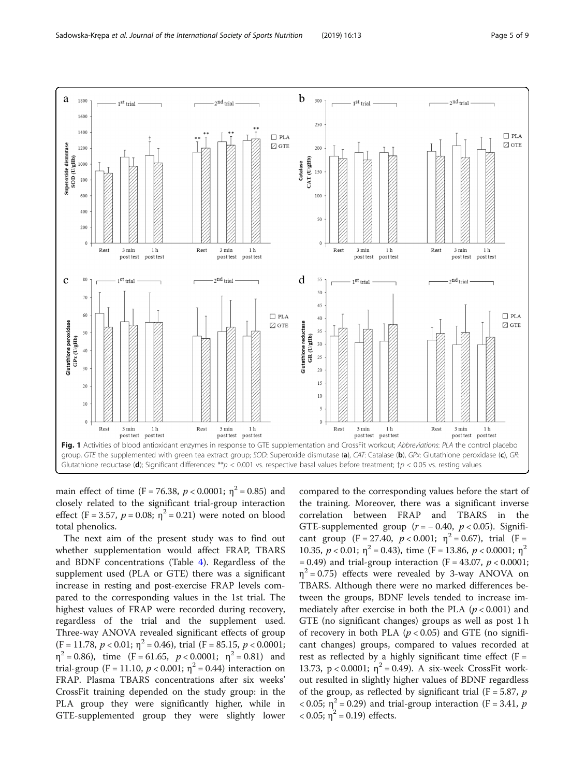<span id="page-4-0"></span>

main effect of time (F = 76.38,  $p < 0.0001$ ;  $\eta^2 = 0.85$ ) and closely related to the significant trial-group interaction effect (F = 3.57,  $p = 0.08$ ;  $\eta^2 = 0.21$ ) were noted on blood total phenolics.

The next aim of the present study was to find out whether supplementation would affect FRAP, TBARS and BDNF concentrations (Table [4\)](#page-5-0). Regardless of the supplement used (PLA or GTE) there was a significant increase in resting and post-exercise FRAP levels compared to the corresponding values in the 1st trial. The highest values of FRAP were recorded during recovery, regardless of the trial and the supplement used. Three-way ANOVA revealed significant effects of group  $(F = 11.78, p < 0.01; \eta^2 = 0.46)$ , trial  $(F = 85.15, p < 0.0001;$  $\eta^2 = 0.86$ , time (F = 61.65,  $p < 0.0001$ ;  $\eta^2 = 0.81$ ) and trial-group (F = 11.10,  $p < 0.001$ ;  $\eta^2 = 0.44$ ) interaction on FRAP. Plasma TBARS concentrations after six weeks' CrossFit training depended on the study group: in the PLA group they were significantly higher, while in GTE-supplemented group they were slightly lower

compared to the corresponding values before the start of the training. Moreover, there was a significant inverse correlation between FRAP and TBARS in the GTE-supplemented group  $(r = -0.40, p < 0.05)$ . Significant group  $(F = 27.40, p < 0.001; \eta^2 = 0.67)$ , trial  $(F =$ 10.35,  $p < 0.01$ ;  $\eta^2 = 0.43$ ), time (F = 13.86,  $p < 0.0001$ ;  $\eta^2$  $= 0.49$ ) and trial-group interaction (F = 43.07,  $p < 0.0001$ ;  $\eta^2$  = 0.75) effects were revealed by 3-way ANOVA on TBARS. Although there were no marked differences between the groups, BDNF levels tended to increase immediately after exercise in both the PLA ( $p < 0.001$ ) and GTE (no significant changes) groups as well as post 1 h of recovery in both PLA ( $p < 0.05$ ) and GTE (no significant changes) groups, compared to values recorded at rest as reflected by a highly significant time effect ( $F =$ 13.73, p < 0.0001;  $η^2 = 0.49$ ). A six-week CrossFit workout resulted in slightly higher values of BDNF regardless of the group, as reflected by significant trial ( $F = 5.87$ ,  $p$  $<$  0.05;  $\eta$ <sup>2</sup> = 0.29) and trial-group interaction (F = 3.41, p  $< 0.05$ ;  $\eta^2 = 0.19$ ) effects.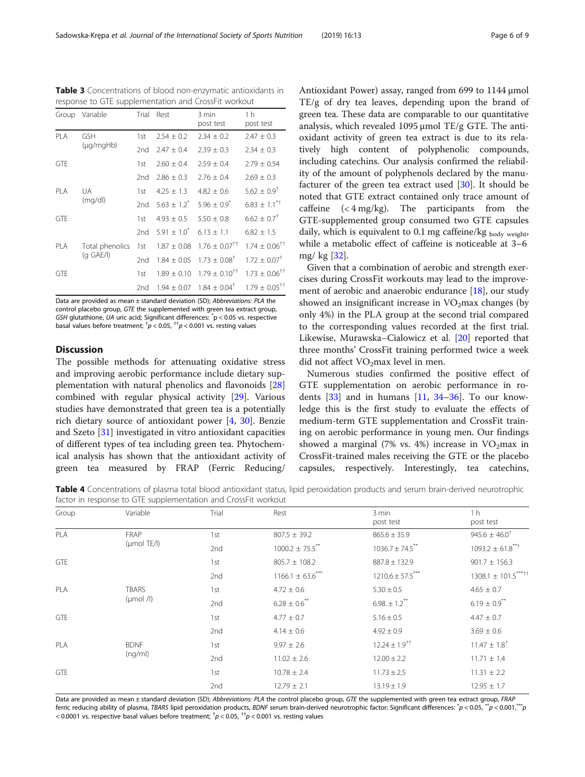Data are provided as mean ± standard deviation (SD); Abbreviations: PLA the control placebo group, GTE the supplemented with green tea extract group, GSH glutathione, UA uric acid; Significant differences: \* p < 0.05 vs. respective basal values before treatment;  $^{\dagger}p$  < 0.05,  $^{\dagger\dagger}p$  < 0.001 vs. resting values

GTE 1.89  $\pm$  0.10 1.79  $\pm$  0.10<sup>++</sup> 1.73  $\pm$  0.06<sup>++</sup>

<span id="page-5-0"></span>Table 3 Concentrations of blood non-enzymatic antioxidants in response to GTE supplementation and CrossFit workout

GTF 1st  $2.60 + 0.4$   $2.59 + 0.4$   $2.79 + 0.54$ 

GTE 1st  $4.93 \pm 0.5$   $5.50 \pm 0.8$   $6.62 \pm 0.7$ <sup>†</sup>

Group Variable Trial Rest 3 min

# **Discussion**

PLA GSH

PLA UA

(μg/mgHb)

(mg/dl)

PLA Total phenolics (g GAE/l)

The possible methods for attenuating oxidative stress and improving aerobic performance include dietary supplementation with natural phenolics and flavonoids [[28](#page-8-0)] combined with regular physical activity [\[29](#page-8-0)]. Various studies have demonstrated that green tea is a potentially rich dietary source of antioxidant power [[4](#page-7-0), [30](#page-8-0)]. Benzie and Szeto [[31](#page-8-0)] investigated in vitro antioxidant capacities of different types of tea including green tea. Phytochemical analysis has shown that the antioxidant activity of green tea measured by FRAP (Ferric Reducing/ Antioxidant Power) assay, ranged from 699 to 1144 μmol TE/g of dry tea leaves, depending upon the brand of green tea. These data are comparable to our quantitative analysis, which revealed 1095 μmol TE/g GTE. The antioxidant activity of green tea extract is due to its relatively high content of polyphenolic compounds, including catechins. Our analysis confirmed the reliability of the amount of polyphenols declared by the manufacturer of the green tea extract used  $[30]$  $[30]$  $[30]$ . It should be noted that GTE extract contained only trace amount of caffeine  $( $4 \text{ mg/kg}$ ). The participants from the$ GTE-supplemented group consumed two GTE capsules daily, which is equivalent to 0.1 mg caffeine/kg  $_{\text{body weight}}$ while a metabolic effect of caffeine is noticeable at 3–6 mg/ kg [[32\]](#page-8-0).

Given that a combination of aerobic and strength exercises during CrossFit workouts may lead to the improve-ment of aerobic and anaerobic endurance [[18](#page-8-0)], our study showed an insignificant increase in  $VO<sub>2</sub>$ max changes (by only 4%) in the PLA group at the second trial compared to the corresponding values recorded at the first trial. Likewise, Murawska–Cialowicz et al. [\[20](#page-8-0)] reported that three months' CrossFit training performed twice a week did not affect  $VO<sub>2</sub>max$  level in men.

Numerous studies confirmed the positive effect of GTE supplementation on aerobic performance in rodents  $[33]$  $[33]$  and in humans  $[11, 34-36]$  $[11, 34-36]$  $[11, 34-36]$  $[11, 34-36]$  $[11, 34-36]$  $[11, 34-36]$ . To our knowledge this is the first study to evaluate the effects of medium-term GTE supplementation and CrossFit training on aerobic performance in young men. Our findings showed a marginal (7% vs. 4%) increase in  $VO<sub>2</sub>$ max in CrossFit-trained males receiving the GTE or the placebo capsules, respectively. Interestingly, tea catechins,

Table 4 Concentrations of plasma total blood antioxidant status, lipid peroxidation products and serum brain-derived neurotrophic factor in response to GTE supplementation and CrossFit workout

| Group             | Variable                                      | Trial | Rest                            | 3 min<br>post test   | 1 <sub>h</sub><br>post test  |
|-------------------|-----------------------------------------------|-------|---------------------------------|----------------------|------------------------------|
| PLA<br><b>GTE</b> | <b>FRAP</b><br>$(\mu \text{mol} \text{TE/l})$ | 1st   | $807.5 \pm 39.2$                | $865.6 \pm 35.9$     | $945.6 \pm 46.0^{\dagger}$   |
|                   |                                               | 2nd   | $1000.2 \pm 75.5$ <sup>**</sup> | $1036.7 \pm 74.5$ ** | $1093.2 \pm 61.8***$         |
|                   |                                               | 1st   | $805.7 \pm 108.2$               | $887.8 \pm 132.9$    | $901.7 \pm 156.3$            |
|                   |                                               | 2nd   | $1166.1 \pm 63.6$ ***           | $1210.6 \pm 57.5***$ | $1308.1 \pm 101.5***$        |
| <b>PLA</b>        | <b>TBARS</b><br>$(\mu \text{mol} / I)$        | 1st   | $4.72 \pm 0.6$                  | $5.30 \pm 0.5$       | $4.65 \pm 0.7$               |
|                   |                                               | 2nd   | $6.28 \pm 0.6$ **               | $6.98 \pm 1.2$ **    | $6.19\pm0.9^{**}$            |
| <b>GTE</b>        |                                               | 1st   | $4.77 \pm 0.7$                  | $5.16 \pm 0.5$       | $4.47 \pm 0.7$               |
|                   |                                               | 2nd   | $4.14 \pm 0.6$                  | $4.92 \pm 0.9$       | $3.69 \pm 0.6$               |
| <b>PLA</b>        | <b>BDNF</b><br>(nq/ml)                        | 1st   | $9.97 \pm 2.6$                  | $12.24 \pm 1.9^{++}$ | $11.47 \pm 1.8$ <sup>†</sup> |
|                   |                                               | 2nd   | $11.02 \pm 2.6$                 | $12.00 \pm 2.2$      | $11.71 \pm 1.4$              |
| <b>GTE</b>        |                                               | 1st   | $10.78 \pm 2.4$                 | $11.73 \pm 2.5$      | $11.31 \pm 2.2$              |
|                   |                                               | 2nd   | $12.79 \pm 2.1$                 | $13.19 \pm 1.9$      | $12.95 \pm 1.7$              |

Data are provided as mean ± standard deviation (SD); Abbreviations: PLA the control placebo group, GTE the supplemented with green tea extract group, FRAP ferric reducing ability of plasma, TBARS lipid peroxidation products, BDNF serum brain-derived neurotrophic factor; Significant differences:  $^*p$  < 0.05,  $^*p$  < 0.001,  $^*p$ < 0.0001 vs. respective basal values before treatment;  $^\dagger p$  < 0.05,  $^\dagger + p$  < 0.001 vs. resting values

post test

1st  $2.54 \pm 0.2$   $2.34 \pm 0.2$   $2.47 \pm 0.3$ 2nd  $2.47 \pm 0.4$   $2.39 \pm 0.3$   $2.34 \pm 0.3$ 

2nd  $2.86 \pm 0.3$   $2.76 \pm 0.4$   $2.69 \pm 0.3$ 

1st  $4.25 \pm 1.3$   $4.82 \pm 0.6$   $5.62 \pm 0.9$ <sup>†</sup> 2nd  $5.63 \pm 1.2^{*}$   $5.96 \pm 0.9^{*}$   $6.83 \pm 1.1^{*}$ 

2nd  $5.91 \pm 1.0^*$   $6.13 \pm 1.1$   $6.82 \pm 1.5$ 

1st  $1.87 \pm 0.08$  1.76  $\pm$  0.07<sup>††</sup> 1.74  $\pm$  0.06<sup>††</sup> 2nd  $1.84 \pm 0.05$   $1.73 \pm 0.08$ <sup>†</sup>  $1.72 \pm 0.07$ <sup>†</sup>

2nd  $1.94 \pm 0.07$   $1.84 \pm 0.04^{\dagger}$   $1.79 \pm 0.05^{\dagger\dagger}$ 

1 h post test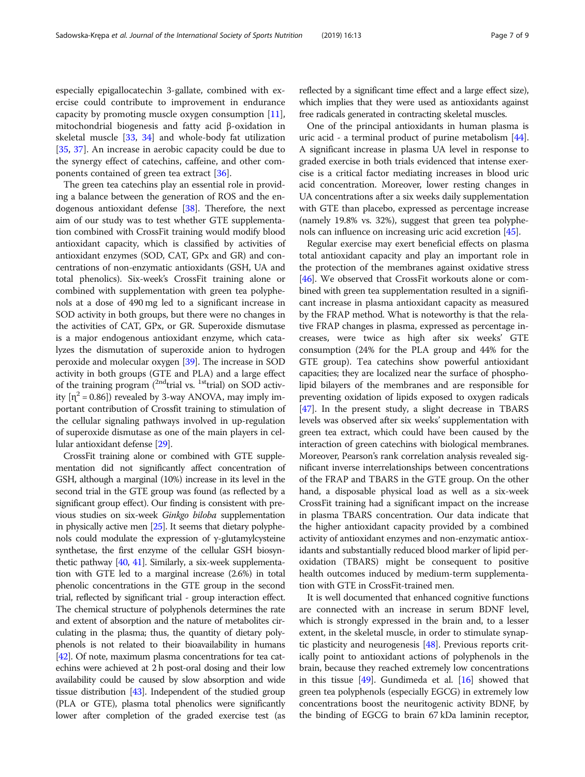especially epigallocatechin 3-gallate, combined with exercise could contribute to improvement in endurance capacity by promoting muscle oxygen consumption [\[11](#page-8-0)], mitochondrial biogenesis and fatty acid β-oxidation in skeletal muscle [[33,](#page-8-0) [34](#page-8-0)] and whole-body fat utilization [[35,](#page-8-0) [37\]](#page-8-0). An increase in aerobic capacity could be due to the synergy effect of catechins, caffeine, and other components contained of green tea extract [[36\]](#page-8-0).

The green tea catechins play an essential role in providing a balance between the generation of ROS and the endogenous antioxidant defense [[38](#page-8-0)]. Therefore, the next aim of our study was to test whether GTE supplementation combined with CrossFit training would modify blood antioxidant capacity, which is classified by activities of antioxidant enzymes (SOD, CAT, GPx and GR) and concentrations of non-enzymatic antioxidants (GSH, UA and total phenolics). Six-week's CrossFit training alone or combined with supplementation with green tea polyphenols at a dose of 490 mg led to a significant increase in SOD activity in both groups, but there were no changes in the activities of CAT, GPx, or GR. Superoxide dismutase is a major endogenous antioxidant enzyme, which catalyzes the dismutation of superoxide anion to hydrogen peroxide and molecular oxygen [[39](#page-8-0)]. The increase in SOD activity in both groups (GTE and PLA) and a large effect of the training program  $\binom{2nd}{r}$  vs.  $\frac{1st}{r}$  trial) on SOD activity  $[n^2 = 0.86]$  revealed by 3-way ANOVA, may imply important contribution of Crossfit training to stimulation of the cellular signaling pathways involved in up-regulation of superoxide dismutase as one of the main players in cellular antioxidant defense [[29](#page-8-0)].

CrossFit training alone or combined with GTE supplementation did not significantly affect concentration of GSH, although a marginal (10%) increase in its level in the second trial in the GTE group was found (as reflected by a significant group effect). Our finding is consistent with previous studies on six-week Ginkgo biloba supplementation in physically active men [\[25](#page-8-0)]. It seems that dietary polyphenols could modulate the expression of γ-glutamylcysteine synthetase, the first enzyme of the cellular GSH biosynthetic pathway [[40,](#page-8-0) [41\]](#page-8-0). Similarly, a six-week supplementation with GTE led to a marginal increase (2.6%) in total phenolic concentrations in the GTE group in the second trial, reflected by significant trial - group interaction effect. The chemical structure of polyphenols determines the rate and extent of absorption and the nature of metabolites circulating in the plasma; thus, the quantity of dietary polyphenols is not related to their bioavailability in humans [[42](#page-8-0)]. Of note, maximum plasma concentrations for tea catechins were achieved at 2 h post-oral dosing and their low availability could be caused by slow absorption and wide tissue distribution [\[43](#page-8-0)]. Independent of the studied group (PLA or GTE), plasma total phenolics were significantly lower after completion of the graded exercise test (as

reflected by a significant time effect and a large effect size), which implies that they were used as antioxidants against free radicals generated in contracting skeletal muscles.

One of the principal antioxidants in human plasma is uric acid - a terminal product of purine metabolism [[44](#page-8-0)]. A significant increase in plasma UA level in response to graded exercise in both trials evidenced that intense exercise is a critical factor mediating increases in blood uric acid concentration. Moreover, lower resting changes in UA concentrations after a six weeks daily supplementation with GTE than placebo, expressed as percentage increase (namely 19.8% vs. 32%), suggest that green tea polyphenols can influence on increasing uric acid excretion [[45](#page-8-0)].

Regular exercise may exert beneficial effects on plasma total antioxidant capacity and play an important role in the protection of the membranes against oxidative stress [[46](#page-8-0)]. We observed that CrossFit workouts alone or combined with green tea supplementation resulted in a significant increase in plasma antioxidant capacity as measured by the FRAP method. What is noteworthy is that the relative FRAP changes in plasma, expressed as percentage increases, were twice as high after six weeks' GTE consumption (24% for the PLA group and 44% for the GTE group). Tea catechins show powerful antioxidant capacities; they are localized near the surface of phospholipid bilayers of the membranes and are responsible for preventing oxidation of lipids exposed to oxygen radicals [[47](#page-8-0)]. In the present study, a slight decrease in TBARS levels was observed after six weeks' supplementation with green tea extract, which could have been caused by the interaction of green catechins with biological membranes. Moreover, Pearson's rank correlation analysis revealed significant inverse interrelationships between concentrations of the FRAP and TBARS in the GTE group. On the other hand, a disposable physical load as well as a six-week CrossFit training had a significant impact on the increase in plasma TBARS concentration. Our data indicate that the higher antioxidant capacity provided by a combined activity of antioxidant enzymes and non-enzymatic antioxidants and substantially reduced blood marker of lipid peroxidation (TBARS) might be consequent to positive health outcomes induced by medium-term supplementation with GTE in CrossFit-trained men.

It is well documented that enhanced cognitive functions are connected with an increase in serum BDNF level, which is strongly expressed in the brain and, to a lesser extent, in the skeletal muscle, in order to stimulate synaptic plasticity and neurogenesis [[48](#page-8-0)]. Previous reports critically point to antioxidant actions of polyphenols in the brain, because they reached extremely low concentrations in this tissue [[49\]](#page-8-0). Gundimeda et al. [[16](#page-8-0)] showed that green tea polyphenols (especially EGCG) in extremely low concentrations boost the neuritogenic activity BDNF, by the binding of EGCG to brain 67 kDa laminin receptor,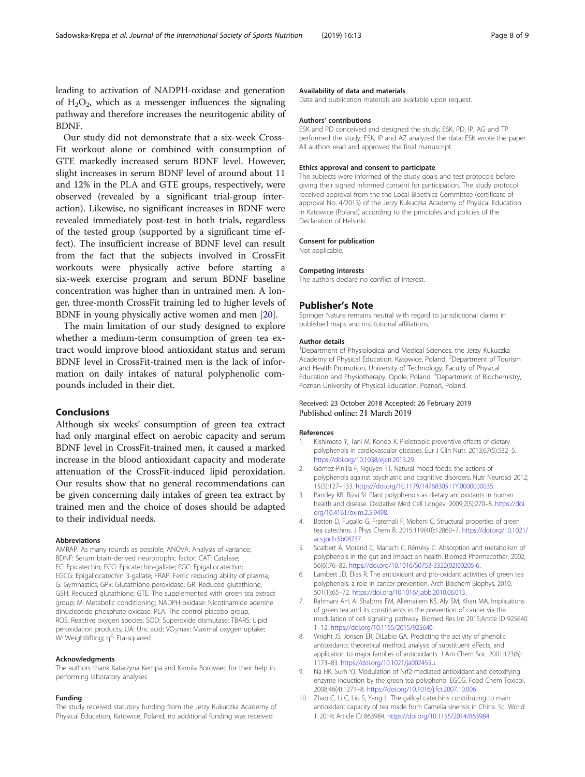<span id="page-7-0"></span>leading to activation of NADPH-oxidase and generation of  $H_2O_2$ , which as a messenger influences the signaling pathway and therefore increases the neuritogenic ability of BDNF.

Our study did not demonstrate that a six-week Cross-Fit workout alone or combined with consumption of GTE markedly increased serum BDNF level. However, slight increases in serum BDNF level of around about 11 and 12% in the PLA and GTE groups, respectively, were observed (revealed by a significant trial-group interaction). Likewise, no significant increases in BDNF were revealed immediately post-test in both trials, regardless of the tested group (supported by a significant time effect). The insufficient increase of BDNF level can result from the fact that the subjects involved in CrossFit workouts were physically active before starting a six-week exercise program and serum BDNF baseline concentration was higher than in untrained men. A longer, three-month CrossFit training led to higher levels of BDNF in young physically active women and men [[20\]](#page-8-0).

The main limitation of our study designed to explore whether a medium-term consumption of green tea extract would improve blood antioxidant status and serum BDNF level in CrossFit-trained men is the lack of information on daily intakes of natural polyphenolic compounds included in their diet.

# Conclusions

Although six weeks' consumption of green tea extract had only marginal effect on aerobic capacity and serum BDNF level in CrossFit-trained men, it caused a marked increase in the blood antioxidant capacity and moderate attenuation of the CrossFit-induced lipid peroxidation. Our results show that no general recommendations can be given concerning daily intakes of green tea extract by trained men and the choice of doses should be adapted to their individual needs.

#### Abbreviations

AMRAP: As many rounds as possible; ANOVA: Analysis of variance; BDNF: Serum brain-derived neurotrophic factor; CAT: Catalase; EC: Epicatechin; ECG: Epicatechin-gallate; EGC: Epigallocatechin; EGCG: Epigallocatechin 3-gallate; FRAP: Ferric reducing ability of plasma; G: Gymnastics; GPx: Glutathione peroxidase; GR: Reduced glutathione; GSH: Reduced glutathione; GTE: The supplemented with green tea extract group; M: Metabolic conditioning; NADPH-oxidase: Nicotinamide adenine dinucleotide phosphate oxidase; PLA: The control placebo group; ROS: Reactive oxygen species; SOD: Superoxide dismutase; TBARS: Lipid peroxidation products; UA: Uric acid; VO<sub>2</sub>max: Maximal oxygen uptake; .<br>W: Weightlifting; η<sup>2</sup>: Eta-squared

#### Acknowledgments

The authors thank Katarzyna Kempa and Kamila Borowiec for their help in performing laboratory analyses.

#### Funding

The study received statutory funding from the Jerzy Kukuczka Academy of Physical Education, Katowice, Poland; no additional funding was received.

#### Availability of data and materials

Data and publication materials are available upon request.

#### Authors' contributions

ESK and PD conceived and designed the study; ESK, PD, IP, AG and TP performed the study; ESK, IP and AZ analyzed the data; ESK wrote the paper. All authors read and approved the final manuscript.

#### Ethics approval and consent to participate

The subjects were informed of the study goals and test protocols before giving their signed informed consent for participation. The study protocol received approval from the the Local Bioethics Committee (certificate of approval No. 4/2013) of the Jerzy Kukuczka Academy of Physical Education in Katowice (Poland) according to the principles and policies of the Declaration of Helsinki.

#### Consent for publication

Not applicable.

#### Competing interests

The authors declare no conflict of interest.

## Publisher's Note

Springer Nature remains neutral with regard to jurisdictional claims in published maps and institutional affiliations.

#### Author details

<sup>1</sup>Department of Physiological and Medical Sciences, the Jerzy Kukuczka Academy of Physical Education, Katowice, Poland. <sup>2</sup>Department of Tourism and Health Promotion, University of Technology, Faculty of Physical Education and Physiotherapy, Opole, Poland. <sup>3</sup> Department of Biochemistry Poznan University of Physical Education, Poznań, Poland.

### Received: 23 October 2018 Accepted: 26 February 2019 Published online: 21 March 2019

### References

- 1. Kishimoto Y, Tani M, Kondo K. Pleiotropic preventive effects of dietary polyphenols in cardiovascular diseases. Eur J Clin Nutr. 2013;67(5):532–5. [https://doi.org/10.1038/ejcn.2013.29.](https://doi.org/10.1038/ejcn.2013.29)
- 2. Gómez-Pinilla F, Nguyen TT. Natural mood foods: the actions of polyphenols against psychiatric and cognitive disorders. Nutr Neurosci 2012; 15(3):127–133. <https://doi.org/10.1179/1476830511Y.0000000035>.
- 3. Pandey KB, Rizvi SI. Plant polyphenols as dietary antioxidants in human health and disease. Oxidative Med Cell Longev. 2009;2(5):270–8. [https://doi.](https://doi.org/10.4161/oxim.2.5.9498) [org/10.4161/oxim.2.5.9498](https://doi.org/10.4161/oxim.2.5.9498).
- 4. Botten D, Fugallo G, Fraternali F, Molteni C. Structural properties of green tea catechins. J Phys Chem B. 2015;119(40):12860–7. [https://doi.org/10.1021/](https://doi.org/10.1021/acs.jpcb.5b08737) [acs.jpcb.5b08737.](https://doi.org/10.1021/acs.jpcb.5b08737)
- 5. Scalbert A, Morand C, Manach C, Rémésy C. Absorption and metabolism of polyphenols in the gut and impact on health. Biomed Pharmacother. 2002; 56(6):76–82. [https://doi.org/10.1016/S0753-3322\(02\)00205-6](https://doi.org/10.1016/S0753-3322(02)00205-6).
- 6. Lambert JD, Elias R. The antioxidant and pro-oxidant activities of green tea polyphenols: a role in cancer prevention. Arch Biochem Biophys. 2010; 501(1):65–72. [https://doi.org/10.1016/j.abb.2010.06.013.](https://doi.org/10.1016/j.abb.2010.06.013)
- 7. Rahmani AH, Al Shabrmi FM, Allemailem KS, Aly SM, Khan MA. Implications of green tea and its constituents in the prevention of cancer via the modulation of cell signaling pathway. Biomed Res Int 2015;Artcle ID 925640: 1–12. [https://doi.org/10.1155/2015/925640.](https://doi.org/10.1155/2015/925640)
- 8. Wright JS, Jonson ER, DiLabio GA. Predicting the activity of phenolic antioxidants: theoretical method, analysis of substituent effects, and application to major families of antioxidants. J Am Chem Soc. 2001;123(6): 1173–83. <https://doi.org/10.1021/ja002455u>.
- 9. Na HK, Surh YJ. Modulation of Nrf2-mediated antioxidant and detoxifying enzyme induction by the green tea polyphenol EGCG. Food Chem Toxicol. 2008;46(4):1271–8. [https://doi.org/10.1016/j.fct.2007.10.006.](https://doi.org/10.1016/j.fct.2007.10.006)
- 10. Zhao C, Li C, Liu S, Yang L. The galloyl catechins contributing to main antioxidant capacity of tea made from Camelia sinensis in China. Sci World J. 2014; Article ID 863984. <https://doi.org/10.1155/2014/863984>.